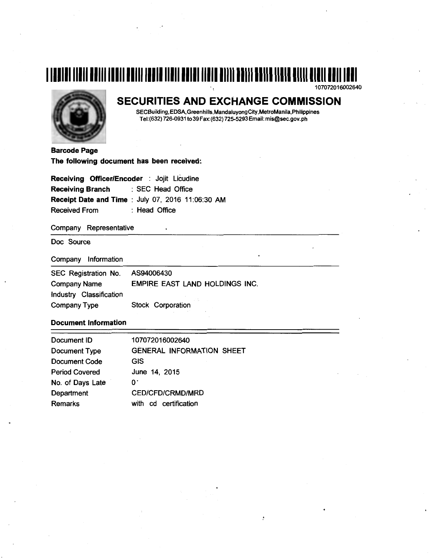# **1111111111111111111111111111111111111111111111111111111111111111111111111111111111111**  107072016002640



# SECURITIES AND EXCHANGE COMMISSION

SECBuilding,EDSA,Greenhills,MandaluyongCity,MetroManila,Philippines Tel:(632) 726-0931 to39 Fax:(632) 725-5293 Email: mis@sec.gov.ph

Barcode Page The following document has been received:

| Receiving Officer/Encoder : Jojit Licudine        |                   |  |  |  |  |
|---------------------------------------------------|-------------------|--|--|--|--|
| <b>Receiving Branch</b>                           | : SEC Head Office |  |  |  |  |
| Receipt Date and Time : July 07, 2016 11:06:30 AM |                   |  |  |  |  |
| <b>Received From</b>                              | : Head Office     |  |  |  |  |

Company Representative

Doc Source

Company Information

| SEC Registration No.    | AS94006430                     |
|-------------------------|--------------------------------|
| <b>Company Name</b>     | EMPIRE EAST LAND HOLDINGS INC. |
| Industry Classification |                                |
| Company Type            | Stock Corporation              |

#### Document Information

| Document ID           | 107072016002640                  |
|-----------------------|----------------------------------|
| Document Type         | <b>GENERAL INFORMATION SHEET</b> |
| <b>Document Code</b>  | <b>GIS</b>                       |
| <b>Period Covered</b> | June 14, 2015                    |
| No. of Days Late      | 0.                               |
| Department            | <b>CED/CFD/CRMD/MRD</b>          |
| Remarks               | certification<br>with<br>cd      |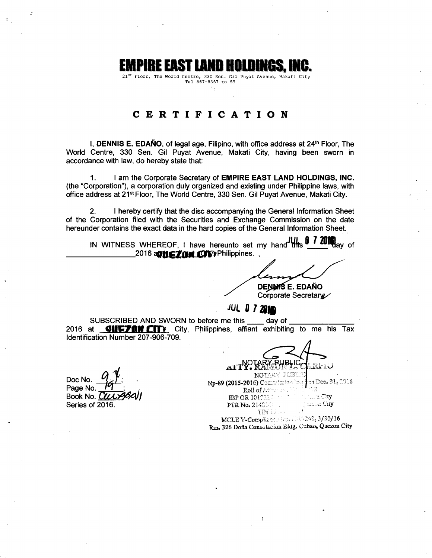# **EMPIRE EAST LAND HOLDINGS, INC.**<br><sup>21st</sup> Floor, The World Centre, 330 Sen. Gil Puyat Avenue, Makati City

Tel 867-8357 to 59

## **CERTIFICATION**

I, **DENNIS E. EDAÑO**, of legal age, Filipino, with office address at 24<sup>th</sup> Floor, The World Centre, 330 Sen. Gil Puyat Avenue, Makati City, having been sworn in accordance with law, do hereby state that:

1. I am the Corporate Secretary of **EMPIRE EAST LAND HOLDINGS, INC.**  (the "Corporation"), a corporation duly organized and existing under Philippine laws, with office address at 21<sup>st</sup> Floor, The World Centre, 330 Sen. Gil Puyat Avenue, Makati City.

2. I hereby certify that the disc accompanying the General Information Sheet of the Corporation filed with the Securities and Exchange Commission on the date hereunder contains the exact data in the hard copies of the General Information Sheet.

IN WITNESS WHEREOF, I have hereunto set my hand this **0 <b>7 2016** ay of the matter of the 2016 **and CDV** Philippines.

**DENNASE. EDAÑO** 

# Corporate Secretary

*JUL 0 7 2010* 

SUBSCRIBED AND SWORN to before me this \_\_\_\_ day of<br>2016 at **GIIFFAN CIT** City. Philippines. affiant exhibitin **QIIEZIN CITY** City, Philippines, affiant exhibiting to me his Tax Identification Number 207-906-709.

Doc No.<br>Page No.

Book No. Cla Series of 2016.

**BLIC** 

i py nasti is **Np-89 (2015-201**6) Commission Happer Dec. 31, 2916 Roll of  $\mathbb{A}$ : IBP OR 1017220, 11, 11, 11, 11, 12, 20, City PTRNo. 214f.;:.: . ~~::..: . .: t\_:tly TIN 101-1

MCLE V-Compliance: No. 0017243, 3/30/16 Rm. 326 Doña Consolacion Biug. Cubao, Quezon City

 $\ddot{\cdot}$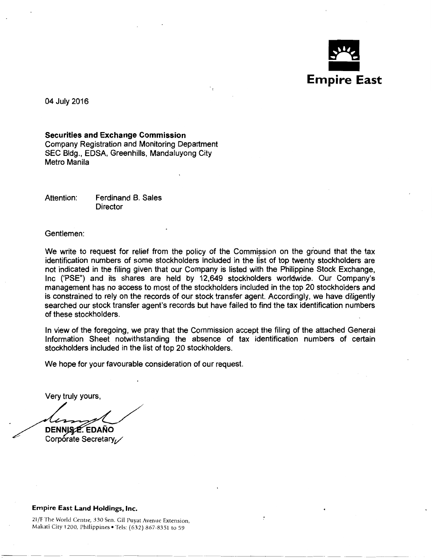

---~-~- ~- ~-~ ~------

04 July 2016

Securities and Exchange Commission Company Registration and Monitoring Department SEC Bldg., EDSA, Greenhills, Mandaluyong City Metro Manila

Attention: Ferdinand B. Sales **Director** 

Gentlemen:

We write to request for relief from the policy of the Commission on the ground that the tax identification numbers of some stockholders included in the list of top twenty stockholders are not indicated in the filing given that our Company is listed with the Philippine Stock Exchange, Inc ('PSE") and its shares are held by 12,649 stockholders worldwide. Our Company's management has no access to most of the stockholders included in the top 20 stockholders and is constrained to rely on the records of our stock transfer agent. Accordingly, we have diligently searched our stock transfer agent's records but have failed to find the tax identification numbers of these stockholders.

In view of the foregoing, we pray that the Commission accept the filing of the attached General Information Sheet notwithstanding the absence of tax identification numbers of certain stockholders included in the list of top 20 stockholders.

We hope for your favourable consideration of our request.

Very truly yours,

DENNISZE. EDAÑO Corporate Secretary

#### Empire East Land Holdings, Inc.

21/F The World Centre, 330 Sen. Gil Puyat Avenue Extension, Makati City 1200, Philippines • Tels: (632) 867-8351 to 59

---~---~--- ---~-~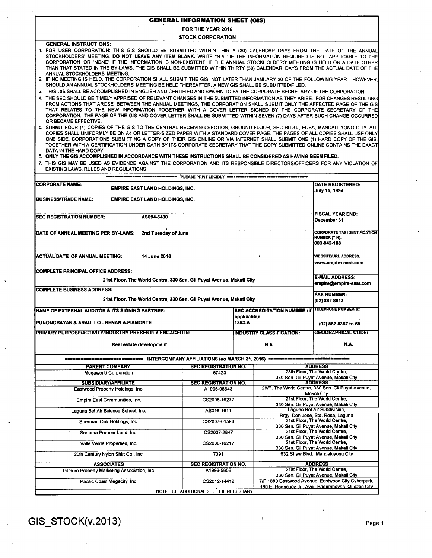| <b>GENERAL INFORMATION SHEET (GIS)</b> |  |
|----------------------------------------|--|

FOR THE YEAR 2016

STOCK CORPORATION

GENERAL INSTRUCTIONS: 1. FOR USER CORPORATION: THIS GIS SHOULD BE SUBMITIED WITHIN THIRTY (30) CALENDAR DAYS FROM THE DATE OF THE ANNUAL STOCKHOLDERS' MEETING. DO NOT LEAVE ANY ITEM BLANK. WRITE "N.A." IF THE INFORMATION REQUIRED IS NOT APPLICABLE TO THE CORPORATION OR "NONE" IF THE INFORMATION IS NON-EXISTENT. IF THE ANNUAL STOCKHOLDERS' MEETING IS HELD ON A DATE OTHER THAN THAT STATED IN THE BY-LAWS, THE GIS SHALL BE SUBMITIED WITHIN THIRTY (30) CALENDAR DAYS FROM THE ACTUAL DATE OF THE ANNUAL STOCKHOLDERS' MEETING. 2. IF NO MEETING IS HELD, THE CORPORATION SHALL SUBMIT THE GIS NOT LATER THAN JANUARY 30 OF THE FOLLOWING YEAR. HOWEVER, SHOULD AN ANNUAL STOCKHOLDERS' MEETING BE HELD THEREAFTER, A NEW GIS SHALL BE SUBMITIED/FILED. 3. THIS GIS SHALL BE ACCOMPLISHED IN ENGLISH AND CERTIFIED AND SWORN TO BY THE CORPORATE SECRETARY OF THE CORPORATION.

4. THE SEC SHOULD BE TIMELY APPRISED OF RELEVANT CHANGES IN THE SUBMITIED INFORMATION AS THEY ARISE. FOR CHANGES RESULTING FROM ACTIONS THAT AROSE BETWEEN THE ANNUAL MEETINGS, THE CORPORATION SHALL SUBMIT ONLY THE AFFECTED PAGE OF THE GIS THAT RELATES TO THE NEW INFORMATION TOGETHER WITH A COVER LETIER SIGNED BY THE CORPORATE SECRETARY OF THE CORPORATION. THE PAGE OF THE GIS AND COVER LETIER SHALL BE SUBMITIED WITHIN SEVEN (7) DAYS AFTER SUCH CHANGE OCCURRED OR BECAME EFFECTIVE.

5. SUBMIT FOUR (4) COPIES OF THE GIS TO THE CENTRAL RECEIVING SECTION, GROUND FLOOR, SEC BLDG., EDSA, MANDALUYONG CITY. ALL COPIES SHALL UNIFORMLY BE ON A4 OR LETIER-SIZED PAPER WITH A STANDARD COVER PAGE. THE PAGES OF ALL COPIES SHALL USE ONLY ONE SIDE. CORPORATIONS SUBMITIING A COPY OF THEIR GIS ONLINE OR VIA INTERNET SHALL SUBMIT ONE (1) HARD COPY OF THE GIS, TOGETHER WITH A CERTIFICATION UNDER OATH BY ITS CORPORATE SECRETARY THAT THE COPY SUBMITIED ONLINE CONTAINS THE EXACT DATA IN THE HARD COPY.

6. ONLY THE GIS ACCOMPLISHED IN ACCORDANCE WITH THESE INSTRUCTIONS SHALL BE CONSIDERED AS HAVING BEEN FILED.

7. THIS GIS MAY BE USED AS EVIDENCE AGAINST THE CORPORATION AND ITS RESPONSIBLE DIRECTORS/OFFICERS FOR ANY VIOLATION OF EXISTING LAWS, RULES AND REGULATIONS

| <b>CORPORATE NAME:</b><br><b>EMPIRE EAST LAND HOLDINGS, INC.</b>      |                                                                            |        |                                                                         | <b>DATE REGISTERED:</b><br>July 15, 1994                                                                  |  |  |
|-----------------------------------------------------------------------|----------------------------------------------------------------------------|--------|-------------------------------------------------------------------------|-----------------------------------------------------------------------------------------------------------|--|--|
| <b>BUSINESS/TRADE NAME:</b><br><b>EMPIRE EAST LAND HOLDINGS, INC.</b> |                                                                            |        |                                                                         |                                                                                                           |  |  |
| <b>SEC REGISTRATION NUMBER:</b><br>AS094-6430                         |                                                                            |        |                                                                         | <b>FISCAL YEAR END:</b>                                                                                   |  |  |
|                                                                       |                                                                            |        |                                                                         | December 31                                                                                               |  |  |
| DATE OF ANNUAL MEETING PER BY-LAWS:<br>2nd Tuesday of June            | <b>CORPORATE TAX IDENTIFICATION</b><br><b>NUMBER (TIN):</b><br>003-942-108 |        |                                                                         |                                                                                                           |  |  |
| <b>ACTUAL DATE OF ANNUAL MEETING:</b><br>14 June 2016                 | <b>WEBSITE/URL ADDRESS:</b><br>www.empire-east.com                         |        |                                                                         |                                                                                                           |  |  |
| <b>COMPLETE PRINCIPAL OFFICE ADDRESS:</b>                             |                                                                            |        |                                                                         |                                                                                                           |  |  |
| 21st Floor, The World Centre, 330 Sen. Gil Puyat Avenue, Makati City  |                                                                            |        |                                                                         | <b>E-MAIL ADDRESS:</b><br>empire@empire-east.com                                                          |  |  |
| <b>COMPLETE BUSINESS ADDRESS:</b>                                     |                                                                            |        |                                                                         | <b>FAX NUMBER:</b>                                                                                        |  |  |
| 21st Floor, The World Centre, 330 Sen. Gil Puyat Avenue, Makati City  |                                                                            |        |                                                                         | (02) 867 8013                                                                                             |  |  |
| <b>NAME OF EXTERNAL AUDITOR &amp; ITS SIGNING PARTNER:</b>            | SEC ACCREDITATION NUMBER (if TELEPHONE NUMBER(S):                          |        |                                                                         |                                                                                                           |  |  |
| PUNONGBAYAN & ARAULLO - RENAN A.PIAMONTE                              |                                                                            | 1363-A |                                                                         | (02) 867 8357 to 59                                                                                       |  |  |
| PRIMARY PURPOSE/ACTIVITY/INDUSTRY PRESENTLY ENGAGED IN:               |                                                                            |        | <b>INDUSTRY CLASSIFICATION:</b>                                         | <b>GEOGRAPHICAL CODE:</b>                                                                                 |  |  |
| Real estate development                                               |                                                                            |        | N.A.                                                                    | N.A.                                                                                                      |  |  |
|                                                                       |                                                                            |        |                                                                         |                                                                                                           |  |  |
| <b>PARENT COMPANY</b>                                                 | <b>SEC REGISTRATION NO.</b>                                                |        |                                                                         | <b>ADDRESS</b>                                                                                            |  |  |
| Megaworld Corporation                                                 | 167423                                                                     |        |                                                                         | 28th Floor, The World Centre,<br>330 Sen. Gil Puyat Avenue, Makati City                                   |  |  |
| <b>SUBSIDIARY/AFFILIATE</b>                                           | <b>SEC REGISTRATION NO.</b>                                                |        |                                                                         | <b>ADDRESS</b>                                                                                            |  |  |
| Eastwood Property Holdings, Inc.                                      | A1996-05643                                                                |        |                                                                         | 28/F. The World Centre, 330 Sen. Gil Puyat Avenue,<br><b>Makati Ctiy</b>                                  |  |  |
| Empire East Communities, Inc.                                         | CS2008-16277                                                               |        |                                                                         | 21st Floor, The World Centre,<br>330 Sen. Gil Puyat Avenue, Makati City                                   |  |  |
| Laguna Bel-Air Science School, Inc.                                   | AS096-1611                                                                 |        |                                                                         | Laguna Bel-Air Subdivision,<br>Brgy. Don Jose, Sta. Rosa, Laguna                                          |  |  |
| Sherman Oak Holdings, Inc.                                            | CS2007-01594                                                               |        | 21st Floor, The World Centre.<br>330 Sen. Gil Puyat Avenue, Makati City |                                                                                                           |  |  |
| Sonoma Premier Land, Inc.<br>CS2007-2847                              |                                                                            |        |                                                                         | 21st Floor, The World Centre.<br>330 Sen. Gil Puyat Avenue, Makati City                                   |  |  |
| Valle Verde Properties, Inc.                                          | CS2006-16217                                                               |        |                                                                         | 21st Floor. The World Centre.<br>330 Sen. Gil Puyat Avenue, Makati City                                   |  |  |
| 20th Century Nylon Shirt Co., Inc.                                    | 7391                                                                       |        |                                                                         | 632 Shaw Blvd., Mandaluyong City                                                                          |  |  |
| <b>ASSOCIATES</b>                                                     | <b>SEC REGISTRATION NO.</b>                                                |        |                                                                         | <b>ADDRESS</b>                                                                                            |  |  |
| Gilmore Property Marketing Association, Inc.                          | A1996-5656                                                                 |        |                                                                         | 21st Floor, The World Centre,<br>330 Sen. Gil Puyat Avenue, Makati City                                   |  |  |
| Pacific Coast Megacity, Inc.                                          | CS2012-14412                                                               |        |                                                                         | 7/F 1880 Eastwood Avenue, Eastwood City Cyberpark,<br>180 E. Rodriguez Jr., Ave., Bagumbayan, Quezon City |  |  |
|                                                                       | NOTE: USE ADDITIONAL SHEET IF NECESSARY                                    |        |                                                                         |                                                                                                           |  |  |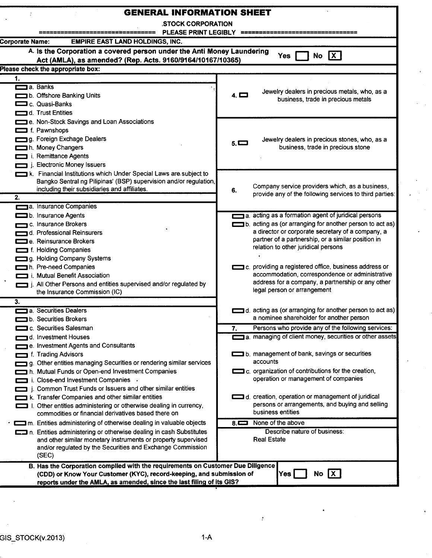| <b>GENERAL INFORMATION SHEET</b><br>ž                                                                                                                                                                                                                                                                                                                                                     |                                                                                                                                                                                                                                                                   |  |  |  |  |  |  |  |  |  |
|-------------------------------------------------------------------------------------------------------------------------------------------------------------------------------------------------------------------------------------------------------------------------------------------------------------------------------------------------------------------------------------------|-------------------------------------------------------------------------------------------------------------------------------------------------------------------------------------------------------------------------------------------------------------------|--|--|--|--|--|--|--|--|--|
| <b>STOCK CORPORATION</b>                                                                                                                                                                                                                                                                                                                                                                  |                                                                                                                                                                                                                                                                   |  |  |  |  |  |  |  |  |  |
| <b>PLEASE PRINT LEGIBLY</b>                                                                                                                                                                                                                                                                                                                                                               |                                                                                                                                                                                                                                                                   |  |  |  |  |  |  |  |  |  |
| <b>EMPIRE EAST LAND HOLDINGS, INC.</b><br><b>Corporate Name:</b>                                                                                                                                                                                                                                                                                                                          |                                                                                                                                                                                                                                                                   |  |  |  |  |  |  |  |  |  |
| A. Is the Corporation a covered person under the Anti Money Laundering<br>No $X$<br><b>Yes</b><br>Act (AMLA), as amended? (Rep. Acts. 9160/9164/10167/10365)                                                                                                                                                                                                                              |                                                                                                                                                                                                                                                                   |  |  |  |  |  |  |  |  |  |
| Please check the appropriate box:                                                                                                                                                                                                                                                                                                                                                         |                                                                                                                                                                                                                                                                   |  |  |  |  |  |  |  |  |  |
| 1.                                                                                                                                                                                                                                                                                                                                                                                        |                                                                                                                                                                                                                                                                   |  |  |  |  |  |  |  |  |  |
| a. Banks<br>b. Offshore Banking Units<br>C. Quasi-Banks<br>d. Trust Entities                                                                                                                                                                                                                                                                                                              | Jewelry dealers in precious metals, who, as a<br>$4. \Box$<br>business, trade in precious metals                                                                                                                                                                  |  |  |  |  |  |  |  |  |  |
| e. Non-Stock Savings and Loan Associations<br>f. Pawnshops<br>g. Foreign Exchage Dealers<br>h. Money Changers<br>i. Remittance Agents<br>j. Electronic Money Issuers                                                                                                                                                                                                                      | Jewelry dealers in precious stones, who, as a<br>$5. \blacksquare$<br>business, trade in precious stone                                                                                                                                                           |  |  |  |  |  |  |  |  |  |
| k. Financial Institutions which Under Special Laws are subject to<br>Bangko Sentral ng Pilipinas' (BSP) supervision and/or regulation,<br>including their subsidiaries and affiliates.<br>2.<br>a. Insurance Companies                                                                                                                                                                    | Company service providers which, as a business,<br>6.<br>provide any of the following services to third parties:                                                                                                                                                  |  |  |  |  |  |  |  |  |  |
| b. Insurance Agents<br>c. Insurance Brokers<br>d. Professional Reinsurers<br>e. Reinsurance Brokers<br>f. Holding Companies<br>g. Holding Company Systems                                                                                                                                                                                                                                 | a. acting as a formation agent of juridical persons<br>b. acting as (or arranging for another person to act as)<br>a director or corporate secretary of a company, a<br>partner of a partnership, or a similar position in<br>relation to other juridical persons |  |  |  |  |  |  |  |  |  |
| h. Pre-need Companies<br>i. Mutual Benefit Association<br>i. All Other Persons and entities supervised and/or regulated by<br>the Insurance Commission (IC)                                                                                                                                                                                                                               | c. providing a registered office, business address or<br>accommodation, correspondence or administrative<br>address for a company, a partnership or any other<br>legal person or arrangement                                                                      |  |  |  |  |  |  |  |  |  |
| 3.<br>a. Securities Dealers<br>b. Securities Brokers                                                                                                                                                                                                                                                                                                                                      | d. acting as (or arranging for another person to act as)<br>a nominee shareholder for another person                                                                                                                                                              |  |  |  |  |  |  |  |  |  |
| c. Securities Salesman                                                                                                                                                                                                                                                                                                                                                                    | Persons who provide any of the following services:<br>7.                                                                                                                                                                                                          |  |  |  |  |  |  |  |  |  |
| d. Investment Houses<br>e. Investment Agents and Consultants<br>f. Trading Advisors<br>g. Other entities managing Securities or rendering similar services<br>h. Mutual Funds or Open-end Investment Companies<br>i. Close-end Investment Companies .<br>Common Trust Funds or Issuers and other similar entities                                                                         | a. managing of client money, securities or other assets<br>b. management of bank, savings or securities<br>accounts<br>c. organization of contributions for the creation,<br>operation or management of companies                                                 |  |  |  |  |  |  |  |  |  |
| k. Transfer Companies and other similar entities<br>I. Other entities administering or otherwise dealing in currency,<br>commodities or financial derivatives based there on<br>m. Entities administering of otherwise dealing in valuable objects<br>n. Entities administering or otherwise dealing in cash Substitutes<br>and other similar monetary instruments or property supervised | d. creation, operation or management of juridical<br>persons or arrangements, and buying and selling<br>business entities<br>None of the above<br>8. $\blacksquare$<br>Describe nature of business:<br><b>Real Estate</b>                                         |  |  |  |  |  |  |  |  |  |
| and/or regulated by the Securities and Exchange Commission<br>(SEC)<br>B. Has the Corporation complied with the requirements on Customer Due Diligence<br>(CDD) or Know Your Customer (KYC), record-keeping, and submission of<br>reports under the AMLA, as amended, since the last filing of its GIS?                                                                                   | $\boxed{\text{X}}$<br>No<br>Yes                                                                                                                                                                                                                                   |  |  |  |  |  |  |  |  |  |

 $\frac{\pi}{\epsilon}$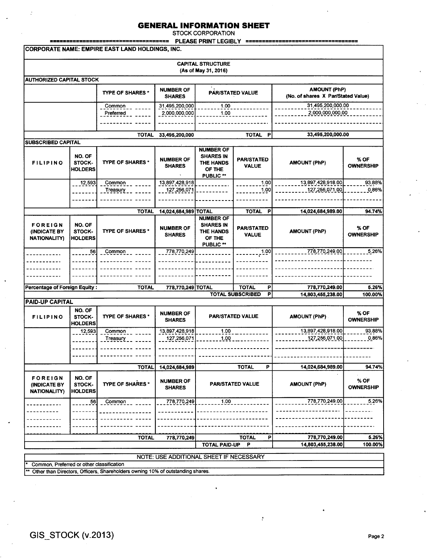STOCK CORPORATION

|                                                       | ================                   | ====================<br>CORPORATE NAME: EMPIRE EAST LAND HOLDINGS, INC.        |                                                           |                                                                                     |                                                        |                                                           |                                    |  |
|-------------------------------------------------------|------------------------------------|--------------------------------------------------------------------------------|-----------------------------------------------------------|-------------------------------------------------------------------------------------|--------------------------------------------------------|-----------------------------------------------------------|------------------------------------|--|
|                                                       |                                    |                                                                                |                                                           |                                                                                     |                                                        |                                                           |                                    |  |
|                                                       |                                    |                                                                                |                                                           | <b>CAPITAL STRUCTURE</b><br>(As of May 31, 2016)                                    |                                                        |                                                           |                                    |  |
| <b>AUTHORIZED CAPITAL STOCK</b>                       |                                    |                                                                                |                                                           |                                                                                     |                                                        |                                                           |                                    |  |
|                                                       |                                    | <b>TYPE OF SHARES*</b>                                                         | <b>NUMBER OF</b><br><b>SHARES</b>                         |                                                                                     | PAR/STATED VALUE                                       | <b>AMOUNT (PhP)</b><br>(No. of shares X Par/Stated Value) |                                    |  |
|                                                       |                                    | Common<br>Preferred                                                            | 31,495,200,000<br>2,000,000,000                           | 1.00<br>1.00                                                                        |                                                        | 31,495,200,000.00<br>2,000,000,000.00                     |                                    |  |
|                                                       |                                    | <b>TOTAL</b>                                                                   | 33,495,200,000                                            |                                                                                     | <b>TOTAL</b><br>P                                      | 33,495,200,000.00                                         |                                    |  |
| SUBSCRIBED CAPITAL                                    |                                    |                                                                                |                                                           |                                                                                     |                                                        |                                                           |                                    |  |
| <b>FILIPINO</b>                                       | NO. OF<br>STOCK-<br><b>HOLDERS</b> | <b>TYPE OF SHARES *</b>                                                        | <b>NUMBER OF</b><br><b>SHARES</b>                         | <b>NUMBER OF</b><br><b>SHARES IN</b><br>THE HANDS<br>OF THE<br>PUBLIC <sup>**</sup> | <b>PAR/STATED</b><br><b>VALUE</b>                      | <b>AMOUNT (PhP)</b>                                       | % OF<br><b>OWNERSHIP</b>           |  |
|                                                       | 12,593                             | Common<br>Treasury                                                             | 13,897,428,918<br>127,256,071                             |                                                                                     | 1.00<br>1.00                                           | 13,897,428,918.00<br>127,256,071.00                       | 93.88%<br>0.86%                    |  |
|                                                       |                                    |                                                                                |                                                           |                                                                                     |                                                        |                                                           |                                    |  |
| <b>FOREIGN</b><br>(INDICATE BY<br><b>NATIONALITY)</b> | NO. OF<br>STOCK-<br><b>HOLDERS</b> | <b>TOTAL</b><br><b>TYPE OF SHARES*</b>                                         | 14,024,684,989 TOTAL<br><b>NUMBER OF</b><br><b>SHARES</b> | <b>NUMBER OF</b><br><b>SHARES IN</b><br>THE HANDS<br>OF THE<br>PUBLIC <sup>**</sup> | <b>TOTAL</b><br>P<br><b>PAR/STATED</b><br><b>VALUE</b> | 14,024,684,989.00<br><b>AMOUNT (PhP)</b>                  | 94.74%<br>% OF<br><b>OWNERSHIP</b> |  |
|                                                       | 56                                 | Common                                                                         | 778,770,249                                               |                                                                                     | 1.00                                                   | 778,770,249.00                                            | 5.26%                              |  |
|                                                       |                                    |                                                                                |                                                           |                                                                                     |                                                        |                                                           |                                    |  |
|                                                       |                                    |                                                                                |                                                           |                                                                                     |                                                        |                                                           |                                    |  |
| <b>Percentage of Foreign Equity:</b>                  |                                    | <b>TOTAL</b>                                                                   | 778,770,249 TOTAL                                         |                                                                                     | <b>TOTAL</b><br>P                                      | 778,770,249.00                                            | 5.26%                              |  |
|                                                       |                                    |                                                                                |                                                           |                                                                                     | <b>TOTAL SUBSCRIBED</b><br>P                           | 14,803,455,238.00                                         | 100.00%                            |  |
| <b>PAID-UP CAPITAL</b>                                |                                    |                                                                                |                                                           |                                                                                     |                                                        |                                                           |                                    |  |
| <b>FILIPINO</b>                                       | NO. OF<br>STOCK-<br><b>HOLDERS</b> | <b>TYPE OF SHARES*</b>                                                         | <b>NUMBER OF</b><br><b>SHARES</b>                         |                                                                                     | <b>PAR/STATED VALUE</b>                                | <b>AMOUNT (PhP)</b>                                       | % OF<br><b>OWNERSHIP</b>           |  |
|                                                       | 12,593                             | Common                                                                         | 13,897,428,918                                            | 1.00                                                                                |                                                        | 13,897,428,918.00                                         | 93.88%                             |  |
|                                                       |                                    | Treasury                                                                       | 127,256,071                                               | 1.00                                                                                |                                                        | 127,256,071.00                                            | 0.86%                              |  |
|                                                       |                                    |                                                                                |                                                           |                                                                                     |                                                        |                                                           |                                    |  |
|                                                       |                                    |                                                                                |                                                           |                                                                                     |                                                        |                                                           |                                    |  |
|                                                       |                                    | <b>TOTAL</b>                                                                   | 14,024,684,989                                            |                                                                                     | <b>TOTAL</b><br>P                                      | 14,024,684,989.00                                         | 94.74%                             |  |
| <b>FOREIGN</b><br>(INDICATE BY<br><b>NATIONALITY)</b> | NO. OF<br>STOCK-<br><b>HOLDERS</b> | TYPE OF SHARES *                                                               | <b>NUMBER OF</b><br><b>SHARES</b>                         |                                                                                     | <b>PAR/STATED VALUE</b>                                | <b>AMOUNT (PhP)</b>                                       | % OF<br><b>OWNERSHIP</b>           |  |
|                                                       | 56                                 | Common                                                                         | 778,770,249                                               | 1.00                                                                                |                                                        | 778,770,249.00                                            | 5.26%                              |  |
|                                                       |                                    |                                                                                |                                                           |                                                                                     |                                                        |                                                           |                                    |  |
|                                                       |                                    |                                                                                |                                                           |                                                                                     |                                                        |                                                           |                                    |  |
|                                                       |                                    |                                                                                |                                                           |                                                                                     |                                                        |                                                           |                                    |  |
|                                                       |                                    | <b>TOTAL</b>                                                                   | 778,770,249                                               | <b>TOTAL PAID-UP</b>                                                                | <b>TOTAL</b><br>P<br>-P                                | 778,770,249.00<br>14,803,455,238.00                       | 5.26%<br>100.00%                   |  |
|                                                       |                                    |                                                                                |                                                           |                                                                                     |                                                        |                                                           |                                    |  |
|                                                       |                                    |                                                                                | NOTE: USE ADDITIONAL SHEET IF NECESSARY                   |                                                                                     |                                                        |                                                           |                                    |  |
| Common, Preferred or other classification             |                                    | Other than Directors, Officers, Shareholders owning 10% of outstanding shares. |                                                           |                                                                                     |                                                        |                                                           |                                    |  |

 $\ddot{\phantom{a}}$ 

 $\ddot{\phi}$ 

þ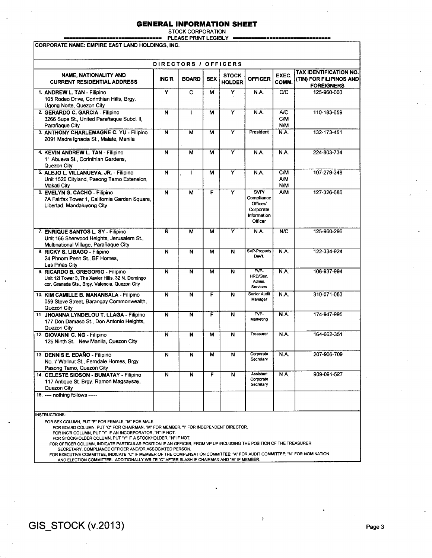STOCK CORPORATION

================================ PLEASE PRINT LEGIBLY =========----------------------- ----------------------- CORPORATE NAME: EMPIRE EAST LAND HOLDINGS, INC.

|                                                                                                                                          |                         | DIRECTORS / OFFICERS    |            |                               |                                                                       |                                        |                                                                               |
|------------------------------------------------------------------------------------------------------------------------------------------|-------------------------|-------------------------|------------|-------------------------------|-----------------------------------------------------------------------|----------------------------------------|-------------------------------------------------------------------------------|
| NAME, NATIONALITY AND<br><b>CURRENT RESIDENTIAL ADDRESS</b>                                                                              | <b>INC'R</b>            | <b>BOARD</b>            | <b>SEX</b> | <b>STOCK</b><br><b>HOLDER</b> | <b>OFFICER</b>                                                        | EXEC.<br>COMM.                         | <b>TAX IDENTIFICATION NO.</b><br>(TIN) FOR FILIPINOS AND<br><b>FOREIGNERS</b> |
| 1. ANDREW L. TAN - Filipino<br>105 Rodeo Drive, Corinthian Hills, Brgy.<br>Ugong Norte, Quezon City                                      | $\overline{\mathsf{Y}}$ | $\overline{\text{c}}$   | M          | Ÿ                             | N.A.                                                                  | C/C                                    | 125-960-003                                                                   |
| 2. GERARDO C. GARCIA - Filipino<br>3266 Supa St., United Parañaque Subd. II,<br>Parañaque City                                           | $\overline{N}$          | $\mathbf{I}$            | M          | Ÿ                             | N.A.                                                                  | <b>A/C</b><br><b>C/M</b><br><b>N/M</b> | 110-183-659                                                                   |
| 3. ANTHONY CHARLEMAGNE C. YU - Filipino<br>2091 Madre Ignacia St., Malate, Manila                                                        | N                       | М                       | M          | Ÿ                             | President                                                             | N.A.                                   | 132-173-451                                                                   |
| 4. KEVIN ANDREW L. TAN - Filipino<br>11 Abueva St., Corinthian Gardens,<br>Quezon City                                                   | N                       | M                       | M          | Ÿ                             | N.A.                                                                  | <b>N.A.</b>                            | 224-803-734                                                                   |
| 5. ALEJO L. VILLANUEVA, JR. - Filipino<br>Unit 1520 Cityland, Pasong Tamo Extension,<br>Makati City                                      | $\overline{\mathsf{N}}$ | L                       | М          | Ÿ                             | N.A.                                                                  | CM<br><b>A/M</b><br><b>N/M</b>         | 107-279-348                                                                   |
| 6. EVELYN G. CACHO - Filipino<br>7A Fairfax Tower 1, California Garden Square,<br>Libertad, Mandaluyong City                             | N                       | M                       | F          | Y                             | SVP/<br>Compliance<br>Officer/<br>Corporate<br>Information<br>Officer | A/M                                    | 127-326-686                                                                   |
| 7. ENRIQUE SANTOS L. SY - Filipino<br>Unit 166 Sherwood Heights, Jerusalem St.,<br>Multinational Village, Parañaque City                 | Ñ                       | M                       | М          | Ÿ                             | <b>N.A.</b>                                                           | N/C                                    | 125-960-296                                                                   |
| 8. RICKY S. LIBAGO - Filipino<br>24 Phnom Penh St., BF Homes,<br>Las Piñas City                                                          | N                       | N                       | M          | N                             | <b>SVP-Property</b><br>Devt.                                          | <b>N.A.</b>                            | 122-334-924                                                                   |
| 9. RICARDO B. GREGORIO - Filipino<br>Unit 12l Tower 3, The Xavier Hills, 32 N. Domingo<br>cor. Granada Sts., Brgy. Valencia, Quezon City | N                       | $\overline{\mathsf{N}}$ | М          | N                             | FVP<br>HRD/Gen.<br>Admin.<br>Services                                 | N.A.                                   | 106-937-994                                                                   |
| 10. KIM CAMILLE B. MANANSALA - Filipino<br>059 Steve Street, Barangay Commonwealth,<br>Quezon City                                       | N                       | $\overline{\mathsf{N}}$ | F          | N                             | <b>Senior Audit</b><br>Manager                                        | N.A.                                   | 310-071-053                                                                   |
| 11. JHOANNA LYNDELOU T. LLAGA - Filipino<br>177 Don Damaso St., Don Antonio Heights,<br>Quezon City                                      | N                       | N                       | Ë          | N                             | FVP-<br>Marketing                                                     | N.A.                                   | 174-947-995                                                                   |
| 12. GIOVANNI C. NG - Filipino<br>125 Ninth St., New Manila, Quezon City                                                                  | N                       | N                       | M          | N                             | Treasurer                                                             | N.A.                                   | 164-662-351                                                                   |
| 13. DENNIS E. EDAÑO - Filipino<br>No. 7 Wallnut St., Ferndale Homes, Brgy.<br>Pasong Tamo, Quezon City                                   | N                       | N                       | м          | N                             | Corporate<br>Secretary                                                | <b>N.A.</b>                            | 207-906-709                                                                   |
| 14. CELESTE SIOSON - BUMATAY - Filipino<br>117 Antique St. Brgy. Ramon Magsaysay,<br>Quezon City                                         | $\overline{\mathsf{N}}$ | N                       | F          | $\overline{\mathsf{N}}$       | <b>Assistant</b><br>Corporate<br>Secretary                            | N.A.                                   | 909-091-527                                                                   |

INSTRUCTIONS:

FOR SEX COLUMN, PUT "F" FOR FEMALE, "M" FOR MALE.

FOR BOARD COLUMN, PUT "C" FOR CHAIRMAN, "M" FOR MEMBER, "I" FOR INDEPENDENT DIRECTOR.<br>FOR INC'R COLUMN, PUT "Y" IF AN INCORPORATOR, "N" IF NOT.<br>FOR STOCKHOLDER COLUMN, PUT "Y" IF A STOCKHOLDER, "N" IF NOT.

FOR OFFICER COLUMN, INDICATE PARTICULAR POSITION IF AN OFFICER, FROM VP UP INCLUDING THE POSITION OF THE TREASURER,

SECRETARY, COMPLIANCE OFFICER AND/OR ASSOCIATED PERSON.

FOR EXECUTIVE COMMITTEE, INDICATE "C"IF MEMBER OF THE COMPENSATION COMMITTEE; "A" FOR AUDIT COMMITTEE; "N" FOR NOMINATION AND ELECTION COMMITTEE. ADDITIONALLY WRITE "C" AFTER SLASH IF CHAIRMAN AND "M" IF MEMBER.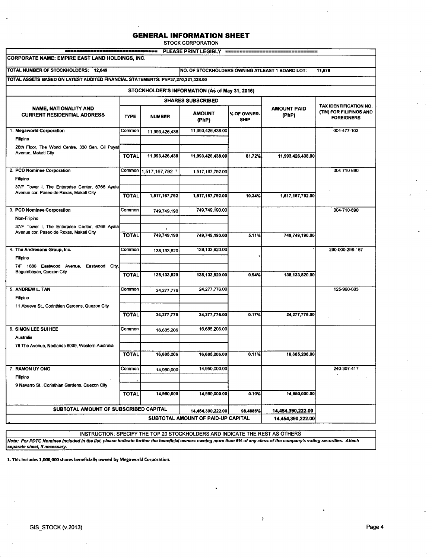STOCK CORPORATION

| ---------------------------------<br><b>CORPORATE NAME: EMPIRE EAST LAND HOLDINGS, INC.</b> |              |                                                 | PLEASE PRINT LEGIBLY                           |                            | ******************************* |                                                                        |
|---------------------------------------------------------------------------------------------|--------------|-------------------------------------------------|------------------------------------------------|----------------------------|---------------------------------|------------------------------------------------------------------------|
|                                                                                             |              |                                                 |                                                |                            |                                 |                                                                        |
| TOTAL NUMBER OF STOCKHOLDERS: 12,649                                                        |              | NO. OF STOCKHOLDERS OWNING ATLEAST 1 BOARD LOT: | 11,978                                         |                            |                                 |                                                                        |
| TOTAL ASSETS BASED ON LATEST AUDITED FINANCIAL STATEMENTS: PhP37,270,221,328.00             |              |                                                 |                                                |                            |                                 |                                                                        |
|                                                                                             |              |                                                 | STOCKHOLDER'S INFORMATION (As of May 31, 2016) |                            |                                 |                                                                        |
|                                                                                             |              |                                                 | <b>SHARES SUBSCRIBED</b>                       |                            |                                 |                                                                        |
| <b>NAME, NATIONALITY AND</b><br><b>CURRENT RESIDENTIAL ADDRESS</b>                          | <b>TYPE</b>  | <b>NUMBER</b>                                   | <b>AMOUNT</b><br>(PhP)                         | % OF OWNER-<br><b>SHIP</b> | <b>AMOUNT PAID</b><br>(PhP)     | TAX IDENTIFICATION NO.<br>(TIN) FOR FILIPINOS AND<br><b>FOREIGNERS</b> |
| 1. Megaworld Corporation                                                                    | Common       | 11,993,426,438                                  | 11,993,426,438.00                              |                            |                                 | 004-477-103                                                            |
| Filipino                                                                                    |              |                                                 |                                                |                            |                                 |                                                                        |
| 28th Floor, The World Centre, 330 Sen. Gil Puyat                                            |              |                                                 |                                                |                            |                                 |                                                                        |
| Avenue, Makati City                                                                         | <b>TOTAL</b> | 11,993,426,438                                  | 11,993,426,438.00                              | 81.72%                     | 11,993,426,438.00               |                                                                        |
| 2. PCD Nominee Corporation                                                                  |              | Common 1,517,167,792 1                          | 1,517,167,792.00                               |                            |                                 | 004-710-690                                                            |
| Filipino                                                                                    |              |                                                 |                                                |                            |                                 |                                                                        |
| 37/F Tower I, The Enterprise Center, 6766 Ayala                                             |              |                                                 |                                                |                            |                                 |                                                                        |
| Avenue cor. Paseo de Roxas, Makati City                                                     | <b>TOTAL</b> | 1,517,167,792                                   | 1,517,167,792.00                               | 10.34%                     | 1,517,167,792.00                |                                                                        |
|                                                                                             |              |                                                 |                                                |                            |                                 |                                                                        |
| 3. PCD Nominee Corporation                                                                  | Common       | 749,749,190                                     | 749,749,190.00                                 |                            |                                 | 004-710-690                                                            |
| Non-Filipino                                                                                |              |                                                 |                                                |                            |                                 |                                                                        |
| 37/F Tower I, The Enterprise Center, 6766 Ayala<br>Avenue cor. Paseo de Roxas, Makati City  |              |                                                 |                                                |                            |                                 |                                                                        |
|                                                                                             | <b>TOTAL</b> | 749,749,190                                     | 749,749,190.00                                 | 5.11%                      | 749,749,190.00                  |                                                                        |
| 4. The Andresons Group, Inc.                                                                | Common       | 138,133,820                                     | 138,133,820,00                                 |                            |                                 | 290-000-298-167                                                        |
| Filipino                                                                                    |              |                                                 |                                                |                            |                                 |                                                                        |
| 7/F 1880 Eastwood Avenue, Eastwood City,                                                    |              |                                                 |                                                |                            |                                 |                                                                        |
| Bagumbayan, Quezon City                                                                     | <b>TOTAL</b> | 138,133,820                                     | 138,133,820.00                                 | 0.94%                      | 138,133,820.00                  |                                                                        |
|                                                                                             |              |                                                 |                                                |                            |                                 |                                                                        |
| 5. ANDREW L. TAN                                                                            | Common       | 24,277,776                                      | 24,277,776.00                                  |                            |                                 | 125-960-003                                                            |
| Filipino<br>11 Abueva St., Corinthian Gardens, Quezon City                                  |              |                                                 |                                                |                            |                                 |                                                                        |
|                                                                                             | <b>TOTAL</b> | 24,277,776                                      | 24,277,776.00                                  | 0.17%                      | 24,277,776.00                   |                                                                        |
|                                                                                             |              |                                                 |                                                |                            |                                 |                                                                        |
| 6. SIMON LEE SUI HEE                                                                        | Common       | 16,685,206                                      | 16,685,206.00                                  |                            |                                 |                                                                        |
| Australia                                                                                   |              |                                                 |                                                |                            |                                 |                                                                        |
| 78 The Avenue, Nedlands 6009, Western Australia                                             |              |                                                 |                                                |                            |                                 |                                                                        |
|                                                                                             | <b>TOTAL</b> | 16,685,206                                      | 16,685,206.00                                  | 0.11%                      | 16,685,206.00                   |                                                                        |
| 7. RAMON UY ONG                                                                             | Common       | 14,950,000                                      | 14,950,000.00                                  |                            |                                 | 240-307-417                                                            |
| Filipino                                                                                    |              |                                                 |                                                |                            |                                 |                                                                        |
| 9 Navarro St., Corinthian Gardens, Quezon City                                              |              |                                                 |                                                |                            |                                 |                                                                        |
|                                                                                             | <b>TOTAL</b> | 14,950,000                                      | 14,950,000.00                                  | 0.10%                      | 14,950,000.00                   |                                                                        |
| SUBTOTAL AMOUNT OF SUBSCRIBED CAPITAL                                                       |              |                                                 | 14,454,390,222.00                              | 98.4886%                   | 14,454,390,222.00               |                                                                        |
|                                                                                             |              |                                                 |                                                |                            |                                 |                                                                        |

INSTRUCTION: SPECIFY THE TOP 20 STOCKHOLDERS AND INDICATE THE REST AS OTHERS

 $\frac{\bullet}{r}$ 

Note: For PDTC Nominee Included in the list, please Indicate further the beneficial owners owning more than 5% of any class of the company's voting securities. Attach separate sheet, if necessary.

1. This includes 1,000,000 shares beneficially owned by Megaworld Corporation.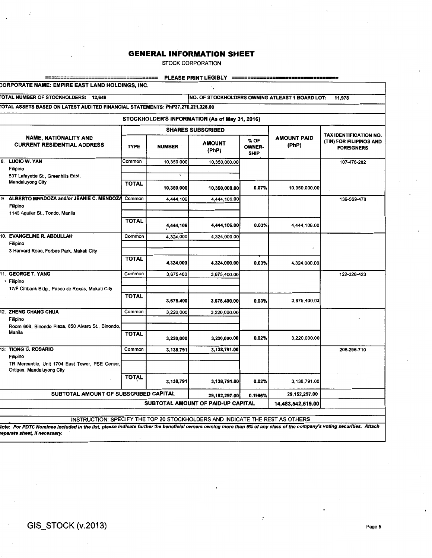STOCK CORPORATION

|                                                                                 |              |               | PLEASE PRINT LEGIBLY<br>==                                                   |                                      |                             |                                              |  |  |  |
|---------------------------------------------------------------------------------|--------------|---------------|------------------------------------------------------------------------------|--------------------------------------|-----------------------------|----------------------------------------------|--|--|--|
| CORPORATE NAME: EMPIRE EAST LAND HOLDINGS, INC.                                 |              |               | ٠.                                                                           |                                      |                             |                                              |  |  |  |
| TOTAL NUMBER OF STOCKHOLDERS: 12,649                                            |              |               | NO. OF STOCKHOLDERS OWNING ATLEAST 1 BOARD LOT:<br>11,978                    |                                      |                             |                                              |  |  |  |
| FOTAL ASSETS BASED ON LATEST AUDITED FINANCIAL STATEMENTS: PhP37,270,221,328.00 |              |               |                                                                              |                                      |                             |                                              |  |  |  |
|                                                                                 |              |               | STOCKHOLDER'S INFORMATION (As of May 31, 2016)                               |                                      |                             |                                              |  |  |  |
|                                                                                 |              |               | <b>SHARES SUBSCRIBED</b>                                                     |                                      |                             | TAX IDENTIFICATION NO.                       |  |  |  |
| <b>NAME, NATIONALITY AND</b><br><b>CURRENT RESIDENTIAL ADDRESS</b>              | <b>TYPE</b>  | <b>NUMBER</b> | <b>AMOUNT</b><br>(PhP)                                                       | % OF<br><b>OWNER-</b><br><b>SHIP</b> | <b>AMOUNT PAID</b><br>(PhP) | (TIN) FOR FILIPINOS AND<br><b>FOREIGNERS</b> |  |  |  |
| 8.<br><b>LUCIO W. YAN</b>                                                       | Common       | 10,350,000    | 10,350,000.00                                                                |                                      |                             | 107-476-282                                  |  |  |  |
| Filipino<br>537 Lafayette St., Greenhills East,                                 |              |               |                                                                              |                                      |                             |                                              |  |  |  |
| Mandaluyong City                                                                | <b>TOTAL</b> | 10,350,000    | 10,350,000.00                                                                | 0.07%                                | 10,350,000.00               |                                              |  |  |  |
| 9.<br>ALBERTO MENDOZA and/or JEANIE C. MENDOZA                                  | Common       | 4,444,106     | 4,444,106.00                                                                 |                                      |                             | 139-569-478                                  |  |  |  |
| Filipino                                                                        |              |               |                                                                              |                                      |                             |                                              |  |  |  |
| 1145 Aguilar St., Tondo, Manila                                                 | <b>TOTAL</b> |               |                                                                              |                                      |                             |                                              |  |  |  |
|                                                                                 |              | 4,444,106     | 4,444,106.00                                                                 | 0.03%                                | 4,444,106.00                |                                              |  |  |  |
| 10. EVANGELINE R. ABDULLAH                                                      | Common       | 4.324,000     | 4,324,000.00                                                                 |                                      |                             |                                              |  |  |  |
| Filipino                                                                        |              |               |                                                                              |                                      |                             |                                              |  |  |  |
| 3 Harvard Road, Forbes Park, Makati City                                        | <b>TOTAL</b> |               |                                                                              |                                      |                             |                                              |  |  |  |
|                                                                                 |              | 4,324,000     | 4,324,000.00                                                                 | 0.03%                                | 4,324,000.00                |                                              |  |  |  |
| 11. GEORGE T. YANG                                                              | Common       | 3,675,400     | 3,675,400.00                                                                 |                                      |                             | 122-326-423                                  |  |  |  |
| · Filipino<br>17/F Citibank Bldg., Paseo de Roxas, Makati City                  |              |               |                                                                              |                                      |                             |                                              |  |  |  |
|                                                                                 | <b>TOTAL</b> |               |                                                                              |                                      |                             |                                              |  |  |  |
|                                                                                 |              | 3,675,400     | 3,675,400.00                                                                 | 0.03%                                | 3,675,400.00                |                                              |  |  |  |
| 12. ZHENG CHANG CHUA                                                            | Common       | 3,220,000     | 3,220,000.00                                                                 |                                      |                             |                                              |  |  |  |
| Filipino<br>Room 608, Binondo Plaza, 850 Alvaro St., Binondo,                   |              |               |                                                                              |                                      |                             |                                              |  |  |  |
| Manila                                                                          | <b>TOTAL</b> |               |                                                                              |                                      |                             |                                              |  |  |  |
|                                                                                 |              | 3,220,000     | 3,220,000.00                                                                 | 0.02%                                | 3,220,000.00                |                                              |  |  |  |
| 13. TIONG C. ROSARIO                                                            | Common       | 3,138,791     | 3,138,791.00                                                                 |                                      |                             | 206-296-710                                  |  |  |  |
| Filipino<br>TR Mercantile, Unit 1704 East Tower, PSE Center,                    |              |               |                                                                              |                                      |                             |                                              |  |  |  |
| Ortigas, Mandaluyong City                                                       |              |               |                                                                              |                                      |                             |                                              |  |  |  |
|                                                                                 | <b>TOTAL</b> | 3,138,791     | 3,138,791.00                                                                 | 0.02%                                | 3.138.791.00                |                                              |  |  |  |
| SUBTOTAL AMOUNT OF SUBSCRIBED CAPITAL                                           |              |               | 29,152,297.00                                                                | 0.1986%                              | 29,152,297.00               |                                              |  |  |  |
|                                                                                 |              |               | SUBTOTAL AMOUNT OF PAID-UP CAPITAL                                           |                                      | 14.483.542.519.00           |                                              |  |  |  |
|                                                                                 |              |               |                                                                              |                                      |                             |                                              |  |  |  |
|                                                                                 |              |               | INSTRUCTION: SPECIFY THE TOP 20 STOCKHOLDERS AND INDICATE THE REST AS OTHERS |                                      |                             |                                              |  |  |  |

lote: For PDTC Nominee included in the list, please indicate further the beneficial owners owning more than 5% of any class of the company's voting securities. Attach :eparate sheet, If necessary.

 $\frac{\mu}{\sigma}$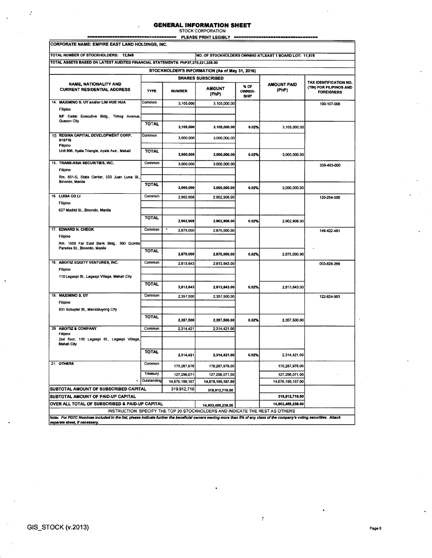# **GENERAL INFORMATION SHEET** STOCK CORPORATION

 $\overline{a}$ 

 $PLEASE PRINT LEGBLY =$ 

| CORPORATE NAME: EMPIRE EAST LAND HOLDINGS, INC.                                                                                                                        |                         |                |                                                                                                   |                               |                                                        |                                              |  |
|------------------------------------------------------------------------------------------------------------------------------------------------------------------------|-------------------------|----------------|---------------------------------------------------------------------------------------------------|-------------------------------|--------------------------------------------------------|----------------------------------------------|--|
| TOTAL NUMBER OF STOCKHOLDERS: 12,649                                                                                                                                   |                         |                |                                                                                                   |                               | NO. OF STOCKHOLDERS OWNING ATLEAST 1 BOARD LOT: 11,978 |                                              |  |
| TOTAL ASSETS BASED ON LATEST AUDITED FINANCIAL STATEMENTS: PhP37,270,221,328.00                                                                                        |                         |                |                                                                                                   |                               |                                                        |                                              |  |
|                                                                                                                                                                        |                         |                | STOCKHOLDER'S INFORMATION (As of May 31, 2016)                                                    |                               |                                                        |                                              |  |
|                                                                                                                                                                        |                         |                | <b>SHARES SUBSCRIBED</b>                                                                          |                               |                                                        | TAX IDENTIFICATION NO.                       |  |
| <b>NAME, NATIONALITY AND</b><br><b>CURRENT RESIDENTIAL ADDRESS</b>                                                                                                     | <b>TYPE</b>             | <b>NUMBER</b>  | <b>AMOUNT</b><br>(PhP)                                                                            | % OF<br><b>OWNER-</b><br>SHIP | <b>AMOUNT PAID</b><br>(PhP)                            | (TIN) FOR FILIPINOS AND<br><b>FOREIGNERS</b> |  |
| 14. MAXIMINO S. UY and/or LIM HUE HUA                                                                                                                                  | Common                  | 3,105,000      | 3,105,000.00                                                                                      |                               |                                                        | 100-107-006                                  |  |
| Filipino                                                                                                                                                               |                         |                |                                                                                                   |                               |                                                        |                                              |  |
| 6/F Cedar Executive Bldg., Timog Avenue,<br>Quezon City                                                                                                                |                         |                |                                                                                                   |                               |                                                        |                                              |  |
|                                                                                                                                                                        | <b>TOTAL</b>            | 3,105,000      | 3,105,000.00                                                                                      | 0.02%                         | 3,105,000.00                                           |                                              |  |
| REGINA CAPITAL DEVELOPMENT CORP.<br>15<br>015716<br>Filipino                                                                                                           | Common                  | 3,000,000      | 3,000,000.00                                                                                      |                               |                                                        |                                              |  |
| Unit 806, Ayala Triangle, Ayala Ave., Makati                                                                                                                           | TOTAL                   | 3,000,000      | 3,000,000.00                                                                                      | 0.02%                         | 3,000,000.00                                           |                                              |  |
| 15. TRANS-ASIA SECURITIES, INC.                                                                                                                                        | Common                  | 3,000,000      | 3,000,000.00                                                                                      |                               |                                                        | 339-493-000                                  |  |
| Filipino                                                                                                                                                               |                         |                |                                                                                                   |                               |                                                        |                                              |  |
| Rm. 601-S. State Center, 333 Juan Luna St.,<br>Binondo, Manila                                                                                                         |                         |                |                                                                                                   |                               |                                                        |                                              |  |
|                                                                                                                                                                        | <b>TOTAL</b>            | 3,000,000      | 3,000,000.00                                                                                      | 0.02%                         | 3,000,000.00                                           |                                              |  |
| 16. LUISA COLI                                                                                                                                                         | Common                  | 2,902,908      | 2,902,908.00                                                                                      |                               |                                                        | 120-254-506                                  |  |
| Filipino                                                                                                                                                               |                         |                |                                                                                                   |                               |                                                        |                                              |  |
| 627 Madrid St., Binondo, Manila                                                                                                                                        |                         |                |                                                                                                   |                               |                                                        |                                              |  |
|                                                                                                                                                                        | <b>TOTAL</b>            | 2,902,908      | 2,902,908.00                                                                                      | 0.02%                         | 2,902,908.00                                           |                                              |  |
| 17. EDWARD N. CHEOK                                                                                                                                                    | Common                  | 2,875,000      | 2,875,000.00                                                                                      |                               |                                                        | 148-422-481                                  |  |
| Filipino<br>Rm. 1005 Far East Bank Bidg., 560 Quintin                                                                                                                  |                         |                |                                                                                                   |                               |                                                        |                                              |  |
| Paredes St., Binondo, Manila                                                                                                                                           | <b>TOTAL</b>            |                |                                                                                                   |                               |                                                        |                                              |  |
|                                                                                                                                                                        |                         | 2,875,000      | 2,875,000.00                                                                                      | 0.02%                         | 2,875,000.00                                           |                                              |  |
| 18. ABOITIZ EQUITY VENTURES, INC.                                                                                                                                      | Common                  | 2,813,843      | 2,813,843.00                                                                                      |                               |                                                        | 003-828-269                                  |  |
| Filipino                                                                                                                                                               |                         |                |                                                                                                   |                               |                                                        |                                              |  |
| 110 Legaspi St., Legaspi Village, Makati City                                                                                                                          |                         |                |                                                                                                   |                               |                                                        |                                              |  |
|                                                                                                                                                                        | TOTAL                   | 2,813,843      | 2,813,843.00                                                                                      | 0.02%                         | 2,813,843.00                                           |                                              |  |
| 19. MAXIMINO S. UY                                                                                                                                                     | Common                  | 2,357,500      | 2,357,500.00                                                                                      |                               |                                                        | 122-824-953                                  |  |
| Filipino                                                                                                                                                               |                         |                |                                                                                                   |                               |                                                        |                                              |  |
| 931 Schuyler St., Mandaluyong City                                                                                                                                     | <b>TOTAL</b>            |                |                                                                                                   |                               |                                                        |                                              |  |
|                                                                                                                                                                        |                         | 2.357,500      | 2,357,500.00                                                                                      | 0.02%                         | 2,357,500.00                                           |                                              |  |
| 20 ABOITIZ & COMPANY                                                                                                                                                   | Common                  | 2,314,421      | 2,314,421.00                                                                                      |                               |                                                        |                                              |  |
| Filipino<br>2nd floor, 110 Legaspi St., Legaspi Village,<br>Makati City                                                                                                |                         |                |                                                                                                   |                               |                                                        |                                              |  |
|                                                                                                                                                                        | <b>TOTAL</b>            | 2,314,421      | 2,314,421.00                                                                                      | 0.02%                         | 2,314,421.00                                           |                                              |  |
| 21. OTHERS                                                                                                                                                             | Common                  |                |                                                                                                   |                               |                                                        |                                              |  |
|                                                                                                                                                                        |                         | 170,287,976    | 170,287,976.00                                                                                    |                               | 170,287,976.00                                         |                                              |  |
|                                                                                                                                                                        | Treasury<br>Outstanding | 127,256,071    | 127,256,071.00                                                                                    |                               | 127,256,071.00                                         |                                              |  |
|                                                                                                                                                                        |                         | 14,676,199,167 | 14,676,199,167.00                                                                                 |                               | 14,676,199,167.00                                      |                                              |  |
| SUBTOTAL AMOUNT OF SUBSCRIBED CAPITAL                                                                                                                                  |                         | 319,912,719    | 319,912,719.00                                                                                    |                               |                                                        |                                              |  |
| SUBTOTAL AMOUNT OF PAID-UP CAPITAL<br>OVER ALL TOTAL OF SUBSCRIBED & PAID-UP CAPITAL                                                                                   |                         |                |                                                                                                   |                               | 319,912,719.00<br>14,803,455,238.00                    |                                              |  |
|                                                                                                                                                                        |                         |                | 14.803,455,238.00<br>INSTRUCTION: SPECIFY THE TOP 20 STOCKHOLDERS AND INDICATE THE REST AS OTHERS |                               |                                                        |                                              |  |
| Note: For PDTC Nominee included in the list, please indicate further the beneficial owners owning more than 5% of any class of the company's voting securities. Attach |                         |                |                                                                                                   |                               |                                                        |                                              |  |
| separate sheet, if necessary.                                                                                                                                          |                         |                |                                                                                                   |                               |                                                        |                                              |  |

 $\bar{z}$ 

 $\ddot{\cdot}$ 

 $\frac{\bullet}{\epsilon}$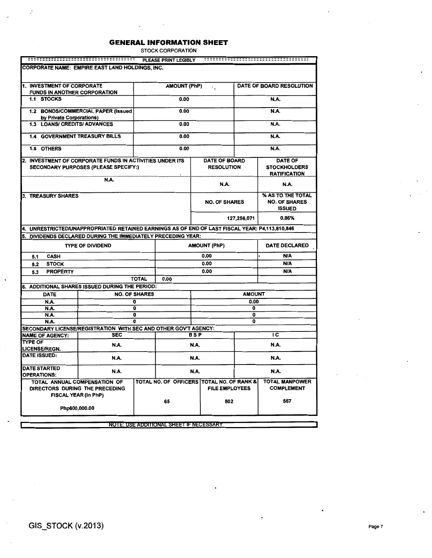STOCK CORPORATION

| <b>CORPORATE NAME: EMPIRE EAST LAND HOLDINGS, INC.</b><br>1. INVESTMENT OF CORPORATE<br><b>FUNDS IN ANOTHER CORPORATION</b><br>1.1 STOCKS<br>1.2 BONDS/COMMERCIAL PAPER (Issued<br>by Private Corporations)<br>1.3 LOANS/ CREDITS/ ADVANCES<br><b>1.4 GOVERNMENT TREASURY BILLS</b><br>1.5 OTHERS |               |                                | <b>AMOUNT (PhP)</b>                             |                     | $\cdot$ .             |                              |                                                            |  |  |
|---------------------------------------------------------------------------------------------------------------------------------------------------------------------------------------------------------------------------------------------------------------------------------------------------|---------------|--------------------------------|-------------------------------------------------|---------------------|-----------------------|------------------------------|------------------------------------------------------------|--|--|
|                                                                                                                                                                                                                                                                                                   |               |                                |                                                 |                     |                       |                              |                                                            |  |  |
|                                                                                                                                                                                                                                                                                                   |               |                                |                                                 |                     |                       |                              |                                                            |  |  |
|                                                                                                                                                                                                                                                                                                   |               |                                |                                                 |                     |                       |                              | <b>DATE OF BOARD RESOLUTION</b>                            |  |  |
|                                                                                                                                                                                                                                                                                                   |               |                                |                                                 |                     |                       |                              |                                                            |  |  |
|                                                                                                                                                                                                                                                                                                   |               |                                | 0.00                                            |                     |                       |                              | <b>N.A.</b>                                                |  |  |
|                                                                                                                                                                                                                                                                                                   |               |                                | 0.00                                            |                     |                       |                              | <b>N.A.</b>                                                |  |  |
|                                                                                                                                                                                                                                                                                                   |               |                                | 0.00                                            |                     |                       |                              | N.A.                                                       |  |  |
|                                                                                                                                                                                                                                                                                                   |               |                                | 0.00                                            |                     |                       |                              | <b>N.A.</b>                                                |  |  |
|                                                                                                                                                                                                                                                                                                   |               |                                | 0.00                                            |                     |                       |                              | <b>N.A.</b>                                                |  |  |
| 2. INVESTMENT OF CORPORATE FUNDS IN ACTIVITIES UNDER ITS                                                                                                                                                                                                                                          |               |                                |                                                 |                     | <b>DATE OF BOARD</b>  |                              | <b>DATE OF</b>                                             |  |  |
| <b>SECONDARY PURPOSES (PLEASE SPECIFY:)</b>                                                                                                                                                                                                                                                       |               |                                |                                                 |                     | <b>RESOLUTION</b>     |                              | <b>STOCKHOLDERS</b><br><b>RATIFICATION</b>                 |  |  |
|                                                                                                                                                                                                                                                                                                   | N.A.          |                                |                                                 |                     | <br>N.A.              |                              | N.A.                                                       |  |  |
|                                                                                                                                                                                                                                                                                                   |               |                                |                                                 |                     |                       |                              |                                                            |  |  |
| 3. TREASURY SHARES                                                                                                                                                                                                                                                                                |               |                                |                                                 |                     | <b>NO. OF SHARES</b>  |                              | % AS TO THE TOTAL<br><b>NO. OF SHARES</b><br><b>ISSUED</b> |  |  |
| 0.86%<br>127,256,071                                                                                                                                                                                                                                                                              |               |                                |                                                 |                     |                       |                              |                                                            |  |  |
| 4. UNRESTRICTED/UNAPPROPRIATED RETAINED EARNINGS AS OF END OF LAST FISCAL YEAR: P4,113,810,846                                                                                                                                                                                                    |               |                                |                                                 |                     |                       |                              |                                                            |  |  |
| DIVIDENDS DECLARED DURING THE IMMEDIATELY PRECEDING YEAR:<br>5.                                                                                                                                                                                                                                   |               |                                |                                                 |                     |                       |                              |                                                            |  |  |
| <b>TYPE OF DIVIDEND</b>                                                                                                                                                                                                                                                                           |               |                                |                                                 | <b>AMOUNT (PhP)</b> |                       |                              | <b>DATE DECLARED</b>                                       |  |  |
| <b>CASH</b><br>5.1                                                                                                                                                                                                                                                                                |               |                                |                                                 |                     | 0.00                  |                              | N/A                                                        |  |  |
| <b>STOCK</b><br>5.2                                                                                                                                                                                                                                                                               |               |                                |                                                 |                     | 0.00                  |                              |                                                            |  |  |
| <b>PROPERTY</b><br>5.3                                                                                                                                                                                                                                                                            |               |                                |                                                 |                     | 0.00                  |                              | N/A                                                        |  |  |
|                                                                                                                                                                                                                                                                                                   |               | <b>TOTAL</b>                   | 0.00                                            |                     |                       |                              |                                                            |  |  |
| 6. ADDITIONAL SHARES ISSUED DURING THE PERIOD:                                                                                                                                                                                                                                                    |               |                                |                                                 |                     |                       |                              |                                                            |  |  |
| <b>DATE</b>                                                                                                                                                                                                                                                                                       |               | <b>NO. OF SHARES</b>           |                                                 |                     |                       | <b>AMOUNT</b>                |                                                            |  |  |
| N.A.                                                                                                                                                                                                                                                                                              |               | o                              |                                                 |                     |                       | 0.00                         |                                                            |  |  |
| <b>N.A.</b><br>N.A.                                                                                                                                                                                                                                                                               |               | $\overline{\mathfrak{o}}$<br>0 |                                                 |                     |                       | $\overline{\mathbf{0}}$<br>0 |                                                            |  |  |
| <b>N.A.</b>                                                                                                                                                                                                                                                                                       |               | $\overline{\mathbf{0}}$        |                                                 |                     |                       | $\overline{0}$               |                                                            |  |  |
| SECONDARY LICENSE/REGISTRATION WITH SEC AND OTHER GOV'T AGENCY:                                                                                                                                                                                                                                   |               |                                |                                                 |                     |                       |                              |                                                            |  |  |
| <b>NAME OF AGENCY:</b>                                                                                                                                                                                                                                                                            | <b>SEC</b>    |                                |                                                 | <b>BSP</b>          |                       |                              | ТC                                                         |  |  |
| <b>TYPE OF</b><br>LICENSE/REGN.                                                                                                                                                                                                                                                                   | N.A.          |                                |                                                 | <b>N.A.</b>         |                       |                              | N.A.                                                       |  |  |
| DATE ISSUED:                                                                                                                                                                                                                                                                                      | <b>N.A.</b>   | N.A.<br>N.A.                   |                                                 |                     |                       |                              |                                                            |  |  |
| <b>DATE STARTED</b><br><b>OPERATIONS:</b>                                                                                                                                                                                                                                                         | N.A.          |                                |                                                 | N.A.                |                       |                              | <b>N.A.</b>                                                |  |  |
| TOTAL ANNUAL COMPENSATION OF<br>DIRECTORS DURING THE PRECEDING<br>FISCAL YEAR (in PhP)                                                                                                                                                                                                            |               |                                | TOTAL NO. OF OFFICERS TOTAL NO. OF RANK &<br>65 |                     | <b>FILE EMPLOYEES</b> |                              | <b>TOTAL MANPOWER</b><br><b>COMPLEMENT</b>                 |  |  |
|                                                                                                                                                                                                                                                                                                   | Php600,000.00 |                                |                                                 |                     | 502                   |                              | 567                                                        |  |  |

**NOTE: USE ADDITIONAL SHEET IF NECESSARY** 

 $\frac{\bullet}{r}$ 

ŀ.